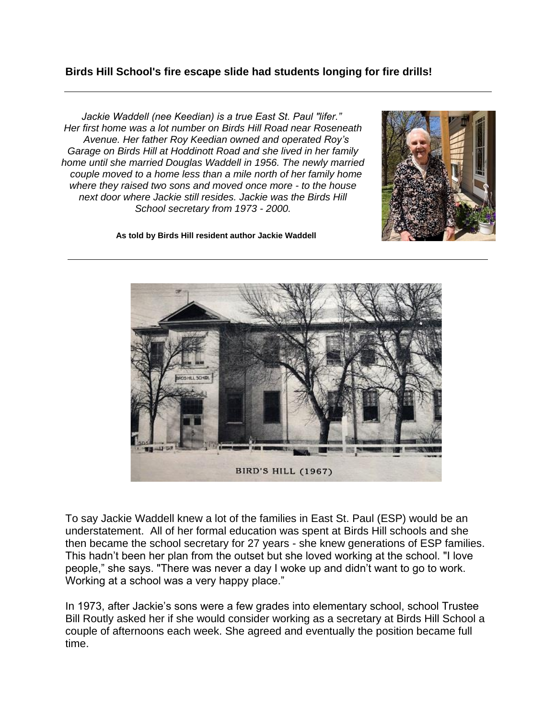## **Birds Hill School's fire escape slide had students longing for fire drills!**

*Jackie Waddell (nee Keedian) is a true East St. Paul "lifer." Her first home was a lot number on Birds Hill Road near Roseneath Avenue. Her father Roy Keedian owned and operated Roy's Garage on Birds Hill at Hoddinott Road and she lived in her family home until she married Douglas Waddell in 1956. The newly married couple moved to a home less than a mile north of her family home where they raised two sons and moved once more - to the house next door where Jackie still resides. Jackie was the Birds Hill School secretary from 1973 - 2000.*



**As told by Birds Hill resident author Jackie Waddell**



To say Jackie Waddell knew a lot of the families in East St. Paul (ESP) would be an understatement. All of her formal education was spent at Birds Hill schools and she then became the school secretary for 27 years - she knew generations of ESP families. This hadn't been her plan from the outset but she loved working at the school. "I love people," she says. "There was never a day I woke up and didn't want to go to work. Working at a school was a very happy place."

In 1973, after Jackie's sons were a few grades into elementary school, school Trustee Bill Routly asked her if she would consider working as a secretary at Birds Hill School a couple of afternoons each week. She agreed and eventually the position became full time.